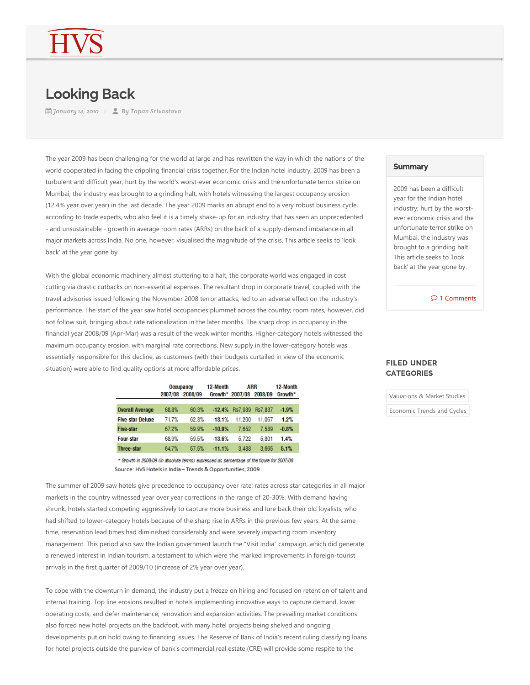## Looking Back

*January 14, 2010 By Tapan Srivastava*

The year 2009 has been challenging for the world at large and has rewritten the way in which the nations of the world cooperated in facing the crippling financial crisis together. For the Indian hotel industry, 2009 has been a turbulent and difficult year; hurt by the world's worst-ever economic crisis and the unfortunate terror strike on Mumbai, the industry was brought to a grinding halt, with hotels witnessing the largest occupancy erosion (12.4% year over year) in the last decade. The year 2009 marks an abrupt end to a very robust business cycle, according to trade experts, who also feel it is a timely shake-up for an industry that has seen an unprecedented - and unsustainable - growth in average room rates (ARRs) on the back of a supply-demand imbalance in all major markets across India. No one, however, visualised the magnitude of the crisis. This article seeks to 'look back' at the year gone by.

With the global economic machinery almost stuttering to a halt, the corporate world was engaged in cost cutting via drastic cutbacks on non‐essential expenses. The resultant drop in corporate travel, coupled with the travel advisories issued following the November 2008 terror attacks, led to an adverse effect on the industry's performance. The start of the year saw hotel occupancies plummet across the country; room rates, however, did not follow suit, bringing about rate rationalization in the later months. The sharp drop in occupancy in the financial year 2008/09 (Apr-Mar) was a result of the weak winter months. Higher-category hotels witnessed the maximum occupancy erosion, with marginal rate corrections. New supply in the lower‐category hotels was essentially responsible for this decline, as customers (with their budgets curtailed in view of the economic situation) were able to find quality options at more affordable prices.

|                         | Occupancy |                 | 12-Month | ARR                     |        | 12-Month |
|-------------------------|-----------|-----------------|----------|-------------------------|--------|----------|
|                         |           | 2007/08 2008/09 |          | Growth* 2007/08 2008/09 |        | Growth*  |
|                         |           |                 |          |                         |        |          |
| <b>Overall Average</b>  | 68.8%     | 60.3%           |          | -12.4% Rs7.989 Rs7.837  |        | $-1.9%$  |
| <b>Five-star Deluxe</b> | 71.7%     | 62.3%           | $-13.1%$ | 11.200                  | 11.067 | $-1.2%$  |
| <b>Five-star</b>        | 67.2%     | 59.9%           | $-10.9%$ | 7.652                   | 7.589  | $-0.8%$  |
| <b>Four-star</b>        | 68.9%     | 59.5%           | $-13.6%$ | 5.722                   | 5.801  | 1.4%     |
| <b>Three-star</b>       | 64.7%     | 57.5%           | $-11.1%$ | 3.488                   | 3.665  | 5.1%     |

\* Growth in 2008/09 (in absolute terms) expressed as percentage of the figure for 2007/08 Source: HVS Hotels in India - Trends & Opportunities, 2009

The summer of 2009 saw hotels give precedence to occupancy over rate; rates across star categories in all major markets in the country witnessed year over year corrections in the range of 20‐30%. With demand having shrunk, hotels started competing aggressively to capture more business and lure back their old loyalists, who had shifted to lower-category hotels because of the sharp rise in ARRs in the previous few years. At the same time, reservation lead times had diminished considerably and were severely impacting room inventory management. This period also saw the Indian government launch the "Visit India" campaign, which did generate a renewed interest in Indian tourism, a testament to which were the marked improvements in foreign‐tourist arrivals in the first quarter of 2009/10 (increase of 2% year over year).

To cope with the downturn in demand, the industry put a freeze on hiring and focused on retention of talent and internal training. Top line erosions resulted in hotels implementing innovative ways to capture demand, lower operating costs, and defer maintenance, renovation and expansion activities. The prevailing market conditions also forced new hotel projects on the backfoot, with many hotel projects being shelved and ongoing developments put on hold owing to financing issues. The Reserve of Bank of India's recent ruling classifying loans for hotel projects outside the purview of bank's commercial real estate (CRE) will provide some respite to the

## **Summary**

2009 has been a difficult year for the Indian hotel industry; hurt by the worst‐ ever economic crisis and the unfortunate terror strike on Mumbai, the industry was brought to a grinding halt. This article seeks to 'look back' at the year gone by.

 $O<sub>1</sub>$  Comments

## FILED UNDER **CATEGORIES**

Valuations & Market Studies

Economic Trends and Cycles